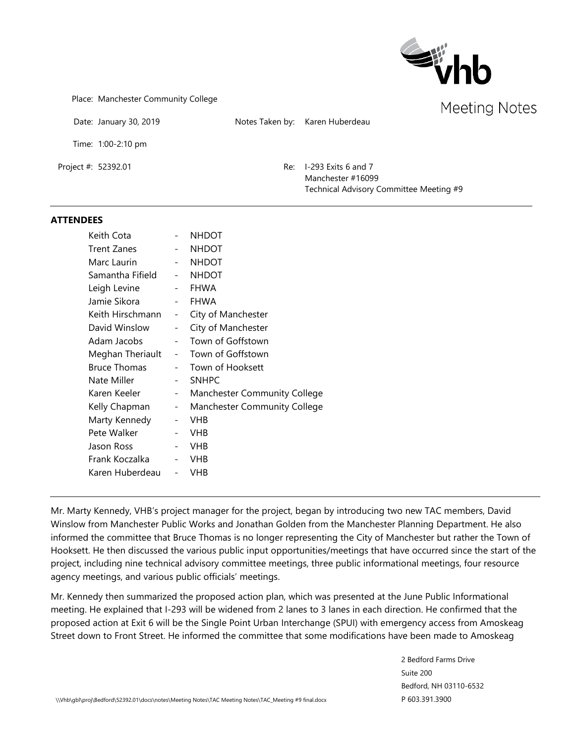

Place: Manchester Community College

Date: January 30, 2019 Motes Taken by: Karen Huberdeau

Time: 1:00-2:10 pm

Project #: 52392.01 Re: I-293 Exits 6 and 7 Manchester #16099 Technical Advisory Committee Meeting #9

#### **ATTENDEES**

| Keith Cota          |                          | <b>NHDOT</b>                        |
|---------------------|--------------------------|-------------------------------------|
| Trent Zanes         |                          | <b>NHDOT</b>                        |
| Marc Laurin         | $\omega_{\rm{max}}$      | <b>NHDOT</b>                        |
| Samantha Fifield    |                          | <b>NHDOT</b>                        |
| Leigh Levine        |                          | <b>FHWA</b>                         |
| Jamie Sikora        |                          | <b>FHWA</b>                         |
| Keith Hirschmann    | $\qquad \qquad -$        | City of Manchester                  |
| David Winslow       |                          | City of Manchester                  |
| Adam Jacobs         | $\overline{\phantom{0}}$ | Town of Goffstown                   |
| Meghan Theriault    | $\sim$                   | Town of Goffstown                   |
| <b>Bruce Thomas</b> |                          | - Town of Hooksett                  |
| Nate Miller         | $-$                      | <b>SNHPC</b>                        |
| Karen Keeler        | $\sim$                   | <b>Manchester Community College</b> |
| Kelly Chapman       | $\sim$                   | Manchester Community College        |
| Marty Kennedy       | $\overline{\phantom{a}}$ | <b>VHB</b>                          |
| Pete Walker         | $\qquad \qquad -$        | <b>VHB</b>                          |
| Jason Ross          | $\overline{\phantom{a}}$ | <b>VHB</b>                          |
| Frank Koczalka      | $\overline{\phantom{a}}$ | <b>VHB</b>                          |
| Karen Huberdeau     |                          | <b>VHB</b>                          |

Mr. Marty Kennedy, VHB's project manager for the project, began by introducing two new TAC members, David Winslow from Manchester Public Works and Jonathan Golden from the Manchester Planning Department. He also informed the committee that Bruce Thomas is no longer representing the City of Manchester but rather the Town of Hooksett. He then discussed the various public input opportunities/meetings that have occurred since the start of the project, including nine technical advisory committee meetings, three public informational meetings, four resource agency meetings, and various public officials' meetings.

Mr. Kennedy then summarized the proposed action plan, which was presented at the June Public Informational meeting. He explained that I-293 will be widened from 2 lanes to 3 lanes in each direction. He confirmed that the proposed action at Exit 6 will be the Single Point Urban Interchange (SPUI) with emergency access from Amoskeag Street down to Front Street. He informed the committee that some modifications have been made to Amoskeag

> 2 Bedford Farms Drive Suite 200 Bedford, NH 03110-6532 P 603.391.3900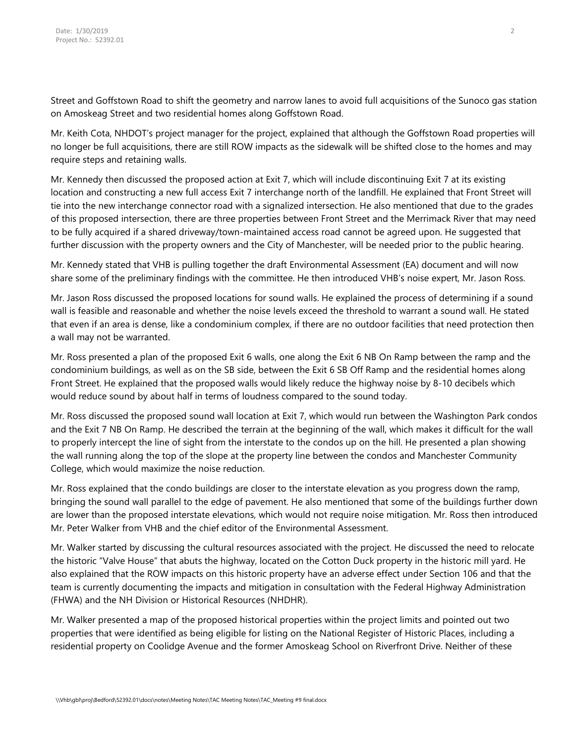Street and Goffstown Road to shift the geometry and narrow lanes to avoid full acquisitions of the Sunoco gas station on Amoskeag Street and two residential homes along Goffstown Road.

Mr. Keith Cota, NHDOT's project manager for the project, explained that although the Goffstown Road properties will no longer be full acquisitions, there are still ROW impacts as the sidewalk will be shifted close to the homes and may require steps and retaining walls.

Mr. Kennedy then discussed the proposed action at Exit 7, which will include discontinuing Exit 7 at its existing location and constructing a new full access Exit 7 interchange north of the landfill. He explained that Front Street will tie into the new interchange connector road with a signalized intersection. He also mentioned that due to the grades of this proposed intersection, there are three properties between Front Street and the Merrimack River that may need to be fully acquired if a shared driveway/town-maintained access road cannot be agreed upon. He suggested that further discussion with the property owners and the City of Manchester, will be needed prior to the public hearing.

Mr. Kennedy stated that VHB is pulling together the draft Environmental Assessment (EA) document and will now share some of the preliminary findings with the committee. He then introduced VHB's noise expert, Mr. Jason Ross.

Mr. Jason Ross discussed the proposed locations for sound walls. He explained the process of determining if a sound wall is feasible and reasonable and whether the noise levels exceed the threshold to warrant a sound wall. He stated that even if an area is dense, like a condominium complex, if there are no outdoor facilities that need protection then a wall may not be warranted.

Mr. Ross presented a plan of the proposed Exit 6 walls, one along the Exit 6 NB On Ramp between the ramp and the condominium buildings, as well as on the SB side, between the Exit 6 SB Off Ramp and the residential homes along Front Street. He explained that the proposed walls would likely reduce the highway noise by 8-10 decibels which would reduce sound by about half in terms of loudness compared to the sound today.

Mr. Ross discussed the proposed sound wall location at Exit 7, which would run between the Washington Park condos and the Exit 7 NB On Ramp. He described the terrain at the beginning of the wall, which makes it difficult for the wall to properly intercept the line of sight from the interstate to the condos up on the hill. He presented a plan showing the wall running along the top of the slope at the property line between the condos and Manchester Community College, which would maximize the noise reduction.

Mr. Ross explained that the condo buildings are closer to the interstate elevation as you progress down the ramp, bringing the sound wall parallel to the edge of pavement. He also mentioned that some of the buildings further down are lower than the proposed interstate elevations, which would not require noise mitigation. Mr. Ross then introduced Mr. Peter Walker from VHB and the chief editor of the Environmental Assessment.

Mr. Walker started by discussing the cultural resources associated with the project. He discussed the need to relocate the historic "Valve House" that abuts the highway, located on the Cotton Duck property in the historic mill yard. He also explained that the ROW impacts on this historic property have an adverse effect under Section 106 and that the team is currently documenting the impacts and mitigation in consultation with the Federal Highway Administration (FHWA) and the NH Division or Historical Resources (NHDHR).

Mr. Walker presented a map of the proposed historical properties within the project limits and pointed out two properties that were identified as being eligible for listing on the National Register of Historic Places, including a residential property on Coolidge Avenue and the former Amoskeag School on Riverfront Drive. Neither of these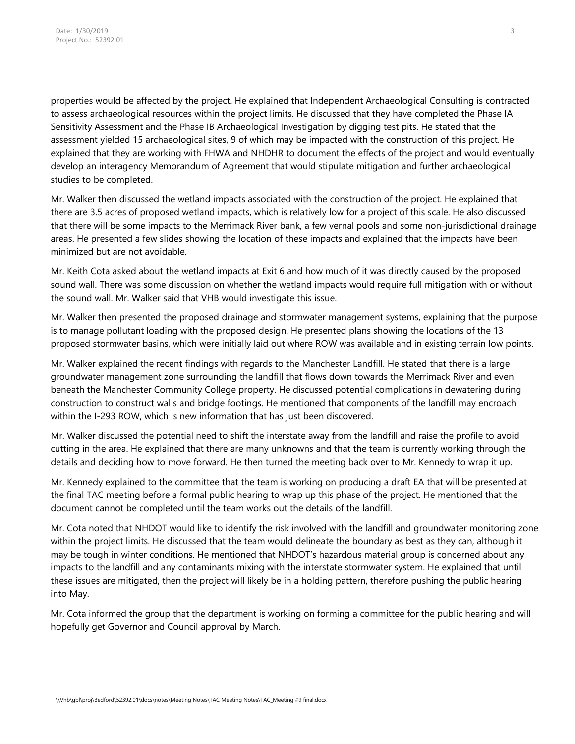properties would be affected by the project. He explained that Independent Archaeological Consulting is contracted to assess archaeological resources within the project limits. He discussed that they have completed the Phase IA Sensitivity Assessment and the Phase IB Archaeological Investigation by digging test pits. He stated that the assessment yielded 15 archaeological sites, 9 of which may be impacted with the construction of this project. He explained that they are working with FHWA and NHDHR to document the effects of the project and would eventually develop an interagency Memorandum of Agreement that would stipulate mitigation and further archaeological studies to be completed.

Mr. Walker then discussed the wetland impacts associated with the construction of the project. He explained that there are 3.5 acres of proposed wetland impacts, which is relatively low for a project of this scale. He also discussed that there will be some impacts to the Merrimack River bank, a few vernal pools and some non-jurisdictional drainage areas. He presented a few slides showing the location of these impacts and explained that the impacts have been minimized but are not avoidable.

Mr. Keith Cota asked about the wetland impacts at Exit 6 and how much of it was directly caused by the proposed sound wall. There was some discussion on whether the wetland impacts would require full mitigation with or without the sound wall. Mr. Walker said that VHB would investigate this issue.

Mr. Walker then presented the proposed drainage and stormwater management systems, explaining that the purpose is to manage pollutant loading with the proposed design. He presented plans showing the locations of the 13 proposed stormwater basins, which were initially laid out where ROW was available and in existing terrain low points.

Mr. Walker explained the recent findings with regards to the Manchester Landfill. He stated that there is a large groundwater management zone surrounding the landfill that flows down towards the Merrimack River and even beneath the Manchester Community College property. He discussed potential complications in dewatering during construction to construct walls and bridge footings. He mentioned that components of the landfill may encroach within the I-293 ROW, which is new information that has just been discovered.

Mr. Walker discussed the potential need to shift the interstate away from the landfill and raise the profile to avoid cutting in the area. He explained that there are many unknowns and that the team is currently working through the details and deciding how to move forward. He then turned the meeting back over to Mr. Kennedy to wrap it up.

Mr. Kennedy explained to the committee that the team is working on producing a draft EA that will be presented at the final TAC meeting before a formal public hearing to wrap up this phase of the project. He mentioned that the document cannot be completed until the team works out the details of the landfill.

Mr. Cota noted that NHDOT would like to identify the risk involved with the landfill and groundwater monitoring zone within the project limits. He discussed that the team would delineate the boundary as best as they can, although it may be tough in winter conditions. He mentioned that NHDOT's hazardous material group is concerned about any impacts to the landfill and any contaminants mixing with the interstate stormwater system. He explained that until these issues are mitigated, then the project will likely be in a holding pattern, therefore pushing the public hearing into May.

Mr. Cota informed the group that the department is working on forming a committee for the public hearing and will hopefully get Governor and Council approval by March.